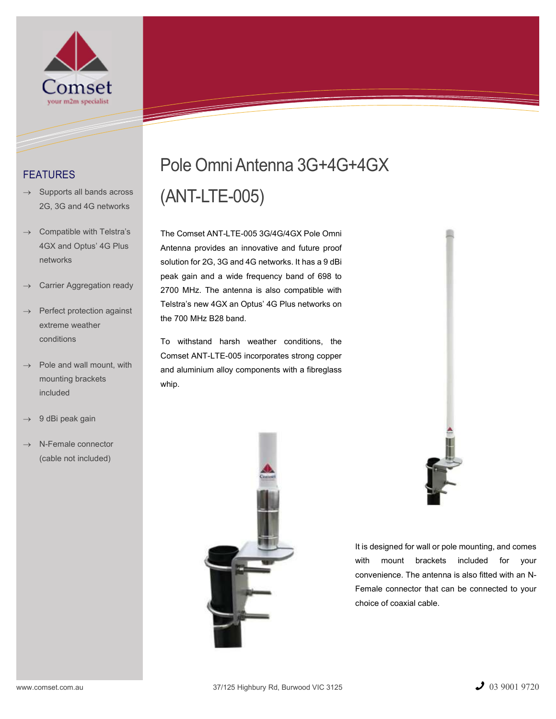

## FEATURES

- $\rightarrow$  Supports all bands across 2G, 3G and 4G networks
- Compatible with Telstra's 4GX and Optus' 4G Plus networks
- Carrier Aggregation ready
- $\rightarrow$  Perfect protection against extreme weather conditions
- $\rightarrow$  Pole and wall mount, with mounting brackets included
- 9 dBi peak gain
- $\rightarrow$  N-Female connector (cable not included)

# Pole Omni Antenna 3G+4G+4GX (ANT-LTE-005)

The Comset ANT-LTE-005 3G/4G/4GX Pole Omni Antenna provides an innovative and future proof solution for 2G, 3G and 4G networks. It has a 9 dBi peak gain and a wide frequency band of 698 to 2700 MHz. The antenna is also compatible with Telstra's new 4GX an Optus' 4G Plus networks on the 700 MHz B28 band.

To withstand harsh weather conditions, the Comset ANT-LTE-005 incorporates strong copper and aluminium alloy components with a fibreglass whip.



It is designed for wall or pole mounting, and comes with mount brackets included for your convenience. The antenna is also fitted with an N-Female connector that can be connected to your choice of coaxial cable.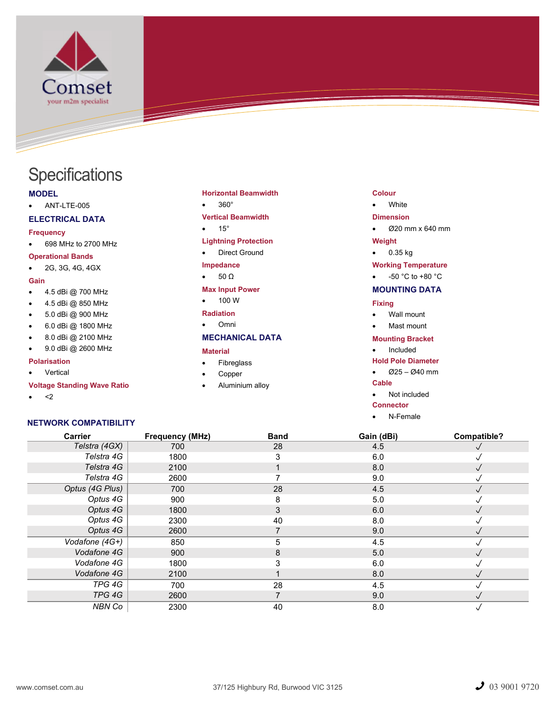

## **Specifications**

## MODEL

ANT-LTE-005

## ELECTRICAL DATA

#### Frequency

698 MHz to 2700 MHz

#### Operational Bands

2G, 3G, 4G, 4GX

## Gain

- 4.5 dBi @ 700 MHz
- 4.5 dBi @ 850 MHz
- 5.0 dBi @ 900 MHz
- 6.0 dBi @ 1800 MHz
- 8.0 dBi @ 2100 MHz
- 9.0 dBi @ 2600 MHz

## Polarisation

## Vertical

## Voltage Standing Wave Ratio

 $\bullet \quad < 2$ 

## NETWORK COMPATIBILITY

## Horizontal Beamwidth

## • 360°

## Vertical Beamwidth

 $• 15°$ 

## Lightning Protection

• Direct Ground

## Impedance

 $\bullet$  50  $\Omega$ 

## Max Input Power

 $-100 W$ 

#### Radiation Omni

## MECHANICAL DATA

## Material

- Fibreglass
- Copper
- Aluminium alloy

#### Colour

#### • White

#### Dimension

Ø20 mm x 640 mm

#### Weight

 $-0.35$  kg

## Working Temperature

 $-50 °C$  to  $+80 °C$ 

## MOUNTING DATA

## Fixing

- Wall mount
- Mast mount

#### Mounting Bracket

- Included
- Hold Pole Diameter
- $\bullet$   $\emptyset$ 25 Ø40 mm

## Cable

• Not included

## **Connector**

N-Female

| <b>Carrier</b>  | <b>Frequency (MHz)</b> | <b>Band</b> | Gain (dBi) | Compatible? |
|-----------------|------------------------|-------------|------------|-------------|
| Telstra (4GX)   | 700                    | 28          | 4.5        |             |
| Telstra 4G      | 1800                   | 3           | 6.0        |             |
| Telstra 4G      | 2100                   |             | 8.0        | $\sqrt{}$   |
| Telstra 4G      | 2600                   |             | 9.0        |             |
| Optus (4G Plus) | 700                    | 28          | 4.5        |             |
| Optus 4G        | 900                    | 8           | 5.0        |             |
| Optus 4G        | 1800                   | 3           | 6.0        |             |
| Optus 4G        | 2300                   | 40          | 8.0        |             |
| Optus 4G        | 2600                   |             | 9.0        |             |
| Vodafone (4G+)  | 850                    | 5           | 4.5        |             |
| Vodafone 4G     | 900                    | 8           | 5.0        |             |
| Vodafone 4G     | 1800                   | 3           | 6.0        |             |
| Vodafone 4G     | 2100                   |             | 8.0        |             |
| TPG 4G          | 700                    | 28          | 4.5        |             |
| TPG 4G          | 2600                   |             | 9.0        |             |
| NBN Co          | 2300                   | 40          | 8.0        | √           |